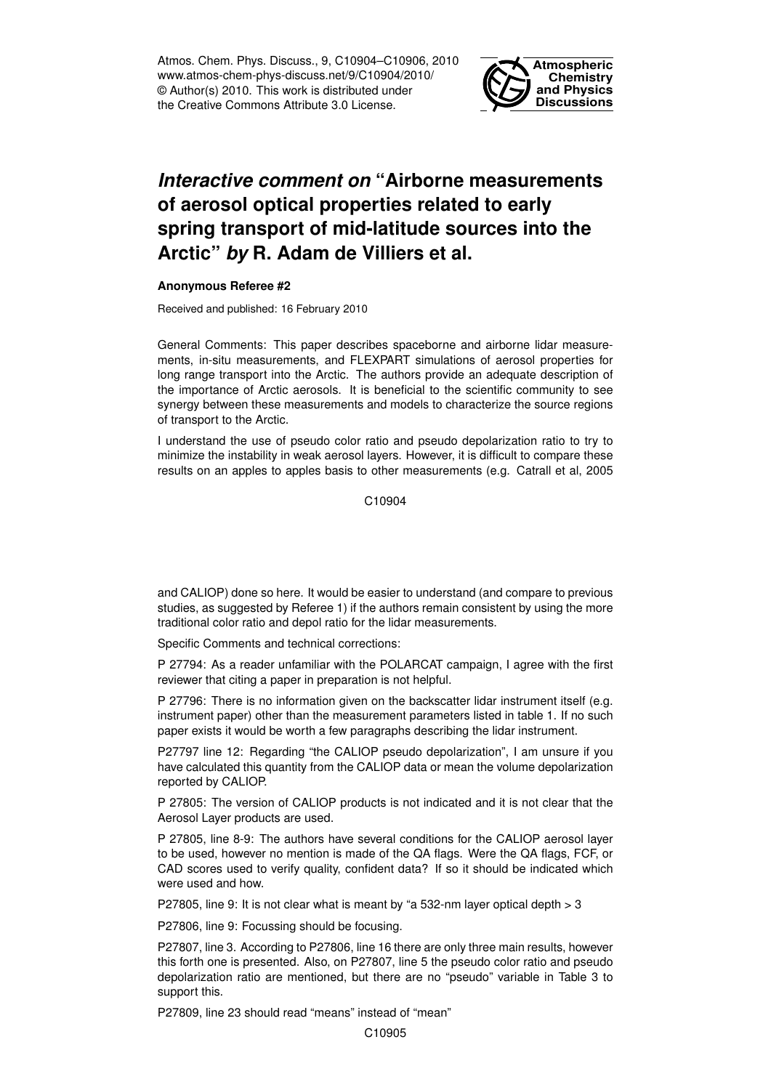Atmos. Chem. Phys. Discuss., 9, C10904–C10906, 2010 www.atmos-chem-phys-discuss.net/9/C10904/2010/ © Author(s) 2010. This work is distributed under the Creative Commons Attribute 3.0 License.



## *Interactive comment on* **"Airborne measurements of aerosol optical properties related to early spring transport of mid-latitude sources into the Arctic"** *by* **R. Adam de Villiers et al.**

## **Anonymous Referee #2**

Received and published: 16 February 2010

General Comments: This paper describes spaceborne and airborne lidar measurements, in-situ measurements, and FLEXPART simulations of aerosol properties for long range transport into the Arctic. The authors provide an adequate description of the importance of Arctic aerosols. It is beneficial to the scientific community to see synergy between these measurements and models to characterize the source regions of transport to the Arctic.

I understand the use of pseudo color ratio and pseudo depolarization ratio to try to minimize the instability in weak aerosol layers. However, it is difficult to compare these results on an apples to apples basis to other measurements (e.g. Catrall et al, 2005

C<sub>10904</sub>

and CALIOP) done so here. It would be easier to understand (and compare to previous studies, as suggested by Referee 1) if the authors remain consistent by using the more traditional color ratio and depol ratio for the lidar measurements.

Specific Comments and technical corrections:

P 27794: As a reader unfamiliar with the POLARCAT campaign, I agree with the first reviewer that citing a paper in preparation is not helpful.

P 27796: There is no information given on the backscatter lidar instrument itself (e.g. instrument paper) other than the measurement parameters listed in table 1. If no such paper exists it would be worth a few paragraphs describing the lidar instrument.

P27797 line 12: Regarding "the CALIOP pseudo depolarization", I am unsure if you have calculated this quantity from the CALIOP data or mean the volume depolarization reported by CALIOP.

P 27805: The version of CALIOP products is not indicated and it is not clear that the Aerosol Layer products are used.

P 27805, line 8-9: The authors have several conditions for the CALIOP aerosol layer to be used, however no mention is made of the QA flags. Were the QA flags, FCF, or CAD scores used to verify quality, confident data? If so it should be indicated which were used and how.

P27805, line 9: It is not clear what is meant by "a 532-nm layer optical depth > 3

P27806, line 9: Focussing should be focusing.

P27807, line 3. According to P27806, line 16 there are only three main results, however this forth one is presented. Also, on P27807, line 5 the pseudo color ratio and pseudo depolarization ratio are mentioned, but there are no "pseudo" variable in Table 3 to support this.

P27809, line 23 should read "means" instead of "mean"